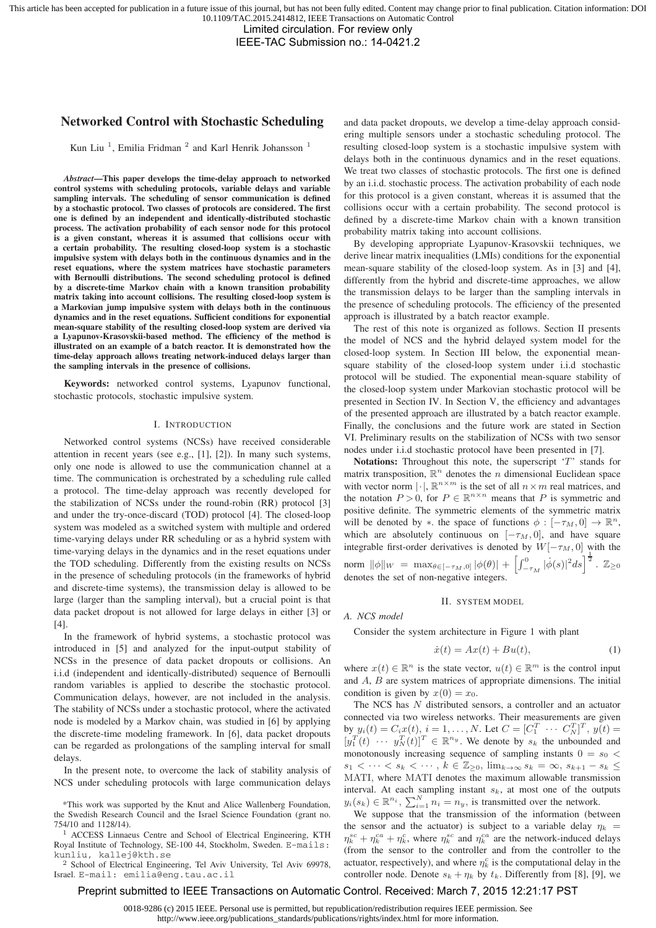Limited circulation. For review only

IEEE-TAC Submission no.: 14-0421.2

# **Networked Control with Stochastic Scheduling**

Kun Liu<sup>1</sup>, Emilia Fridman<sup>2</sup> and Karl Henrik Johansson<sup>1</sup>

*Abstract***—This paper develops the time-delay approach to networked control systems with scheduling protocols, variable delays and variable sampling intervals. The scheduling of sensor communication is defined by a stochastic protocol. Two classes of protocols are considered. The first one is defined by an independent and identically-distributed stochastic process. The activation probability of each sensor node for this protocol is a given constant, whereas it is assumed that collisions occur with a certain probability. The resulting closed-loop system is a stochastic impulsive system with delays both in the continuous dynamics and in the reset equations, where the system matrices have stochastic parameters with Bernoulli distributions. The second scheduling protocol is defined by a discrete-time Markov chain with a known transition probability matrix taking into account collisions. The resulting closed-loop system is a Markovian jump impulsive system with delays both in the continuous dynamics and in the reset equations. Sufficient conditions for exponential mean-square stability of the resulting closed-loop system are derived via a Lyapunov-Krasovskii-based method. The efficiency of the method is illustrated on an example of a batch reactor. It is demonstrated how the time-delay approach allows treating network-induced delays larger than the sampling intervals in the presence of collisions.**

**Keywords:** networked control systems, Lyapunov functional, stochastic protocols, stochastic impulsive system.

#### I. INTRODUCTION

Networked control systems (NCSs) have received considerable attention in recent years (see e.g., [1], [2]). In many such systems, only one node is allowed to use the communication channel at a time. The communication is orchestrated by a scheduling rule called a protocol. The time-delay approach was recently developed for the stabilization of NCSs under the round-robin (RR) protocol [3] and under the try-once-discard (TOD) protocol [4]. The closed-loop system was modeled as a switched system with multiple and ordered time-varying delays under RR scheduling or as a hybrid system with time-varying delays in the dynamics and in the reset equations under the TOD scheduling. Differently from the existing results on NCSs in the presence of scheduling protocols (in the frameworks of hybrid and discrete-time systems), the transmission delay is allowed to be large (larger than the sampling interval), but a crucial point is that data packet dropout is not allowed for large delays in either [3] or [4].

In the framework of hybrid systems, a stochastic protocol was introduced in [5] and analyzed for the input-output stability of NCSs in the presence of data packet dropouts or collisions. An i.i.d (independent and identically-distributed) sequence of Bernoulli random variables is applied to describe the stochastic protocol. Communication delays, however, are not included in the analysis. The stability of NCSs under a stochastic protocol, where the activated node is modeled by a Markov chain, was studied in [6] by applying the discrete-time modeling framework. In [6], data packet dropouts can be regarded as prolongations of the sampling interval for small delays.

In the present note, to overcome the lack of stability analysis of NCS under scheduling protocols with large communication delays

\*This work was supported by the Knut and Alice Wallenberg Foundation, the Swedish Research Council and the Israel Science Foundation (grant no. 754/10 and 1128/14).

<sup>1</sup> ACCESS Linnaeus Centre and School of Electrical Engineering, KTH Royal Institute of Technology, SE-100 44, Stockholm, Sweden. E-mails: kunliu, kallej@kth.se

<sup>2</sup> School of Electrical Engineering, Tel Aviv University, Tel Aviv 69978, Israel. E-mail: emilia@eng.tau.ac.il

and data packet dropouts, we develop a time-delay approach considering multiple sensors under a stochastic scheduling protocol. The resulting closed-loop system is a stochastic impulsive system with delays both in the continuous dynamics and in the reset equations. We treat two classes of stochastic protocols. The first one is defined by an i.i.d. stochastic process. The activation probability of each node for this protocol is a given constant, whereas it is assumed that the collisions occur with a certain probability. The second protocol is defined by a discrete-time Markov chain with a known transition probability matrix taking into account collisions.

By developing appropriate Lyapunov-Krasovskii techniques, we derive linear matrix inequalities (LMIs) conditions for the exponential mean-square stability of the closed-loop system. As in [3] and [4], differently from the hybrid and discrete-time approaches, we allow the transmission delays to be larger than the sampling intervals in the presence of scheduling protocols. The efficiency of the presented approach is illustrated by a batch reactor example.

The rest of this note is organized as follows. Section II presents the model of NCS and the hybrid delayed system model for the closed-loop system. In Section III below, the exponential meansquare stability of the closed-loop system under i.i.d stochastic protocol will be studied. The exponential mean-square stability of the closed-loop system under Markovian stochastic protocol will be presented in Section IV. In Section V, the efficiency and advantages of the presented approach are illustrated by a batch reactor example. Finally, the conclusions and the future work are stated in Section VI. Preliminary results on the stabilization of NCSs with two sensor nodes under i.i.d stochastic protocol have been presented in [7].

Notations: Throughout this note, the superscript 'T' stands for matrix transposition,  $\mathbb{R}^n$  denotes the *n* dimensional Euclidean space with vector norm  $|\cdot|$ ,  $\mathbb{R}^{n \times m}$  is the set of all  $n \times m$  real matrices, and the notation  $P > 0$ , for  $P \in \mathbb{R}^{n \times n}$  means that P is symmetric and positive definite. The symmetric elements of the symmetric matrix will be denoted by ∗. the space of functions  $\phi : [-\tau_M, 0] \to \mathbb{R}^n$ , which are absolutely continuous on  $[-\tau_M, 0]$ , and have square integrable first-order derivatives is denoted by  $W[-\tau_M, 0]$  with the norm  $\|\phi\|_{W} = \max_{\theta \in [-\tau_M,0]} |\phi(\theta)| + \left[ \int_{-\tau_M}^{0} |\dot{\phi}(s)|^2 ds \right]^{\frac{1}{2}}$ .  $\mathbb{Z}_{\geq 0}$ denotes the set of non-negative integers.

## II. SYSTEM MODEL

Consider the system architecture in Figure 1 with plant

*A. NCS model*

$$
\dot{x}(t) = Ax(t) + Bu(t),\tag{1}
$$

where  $x(t) \in \mathbb{R}^n$  is the state vector,  $u(t) \in \mathbb{R}^m$  is the control input and A, B are system matrices of appropriate dimensions. The initial condition is given by  $x(0) = x_0$ .

The NCS has N distributed sensors, a controller and an actuator connected via two wireless networks. Their measurements are given by  $y_i(t) = C_i x(t), i = 1, ..., N$ . Let  $C = [C_1^T \cdots C_N^T]^T$ ,  $y(t) =$  $[y_1^T(t) \cdots y_N^T(t)]^T \in \mathbb{R}^{n_y}$ . We denote by  $s_k$  the unbounded and monotonously increasing sequence of sampling instants  $0 = s_0$  $s_1 \lt \cdots \lt s_k \lt \cdots$ ,  $k \in \mathbb{Z}_{\geq 0}$ ,  $\lim_{k \to \infty} s_k = \infty$ ,  $s_{k+1} - s_k \leq$ MATI, where MATI denotes the maximum allowable transmission interval. At each sampling instant  $s_k$ , at most one of the outputs  $y_i(s_k) \in \mathbb{R}^{n_i}$ ,  $\sum_{i=1}^{N} n_i = n_y$ , is transmitted over the network.

We suppose that the transmission of the information (between the sensor and the actuator) is subject to a variable delay  $\eta_k$  =  $\eta_k^{sc} + \eta_k^{ca} + \eta_k^c$ , where  $\eta_k^{sc}$  and  $\eta_k^{ca}$  are the network-induced delays (from the sensor to the controller and from the controller to the actuator, respectively), and where  $\eta_k^c$  is the computational delay in the controller node. Denote  $s_k + \eta_k$  by  $t_k$ . Differently from [8], [9], we

# Preprint submitted to IEEE Transactions on Automatic Control. Received: March 7, 2015 12:21:17 PST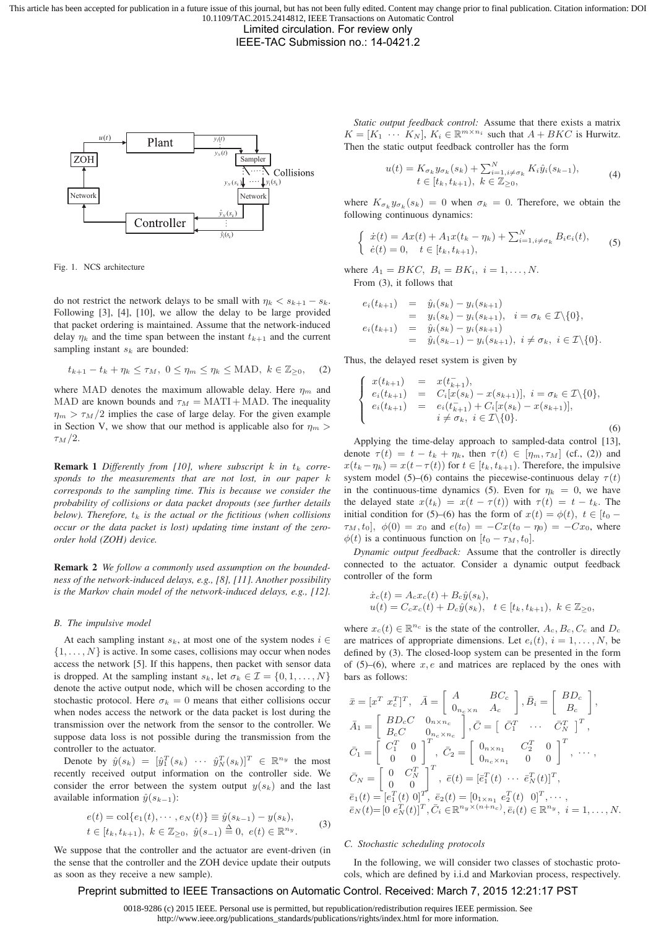Limited circulation. For review only IEEE-TAC Submission no.: 14-0421.2



Fig. 1. NCS architecture

do not restrict the network delays to be small with  $\eta_k < s_{k+1} - s_k$ . Following [3], [4], [10], we allow the delay to be large provided that packet ordering is maintained. Assume that the network-induced delay  $\eta_k$  and the time span between the instant  $t_{k+1}$  and the current sampling instant  $s_k$  are bounded:

$$
t_{k+1} - t_k + \eta_k \le \tau_M, \ 0 \le \eta_m \le \eta_k \le \text{MAD}, \ k \in \mathbb{Z}_{\ge 0}, \quad (2)
$$

where MAD denotes the maximum allowable delay. Here  $\eta_m$  and MAD are known bounds and  $\tau_M = \text{MATI} + \text{MAD}$ . The inequality  $\eta_m > \tau_M/2$  implies the case of large delay. For the given example in Section V, we show that our method is applicable also for  $\eta_m$  $\tau_M/2$ .

**Remark 1** *Differently from [10], where subscript*  $k$  *in*  $t_k$  *corresponds to the measurements that are not lost, in our paper* k *corresponds to the sampling time. This is because we consider the probability of collisions or data packet dropouts (see further details below). Therefore,*  $t_k$  *is the actual or the fictitious (when collisions occur or the data packet is lost) updating time instant of the zeroorder hold (ZOH) device.*

**Remark 2** *We follow a commonly used assumption on the boundedness of the network-induced delays, e.g., [8], [11]. Another possibility is the Markov chain model of the network-induced delays, e.g., [12].*

### *B. The impulsive model*

At each sampling instant  $s_k$ , at most one of the system nodes  $i \in$  $\{1, \ldots, N\}$  is active. In some cases, collisions may occur when nodes access the network [5]. If this happens, then packet with sensor data is dropped. At the sampling instant  $s_k$ , let  $\sigma_k \in \mathcal{I} = \{0, 1, \ldots, N\}$ denote the active output node, which will be chosen according to the stochastic protocol. Here  $\sigma_k = 0$  means that either collisions occur when nodes access the network or the data packet is lost during the transmission over the network from the sensor to the controller. We suppose data loss is not possible during the transmission from the controller to the actuator.

Denote by  $\hat{y}(s_k) = [\hat{y}_1^T(s_k) \cdots \hat{y}_N^T(s_k)]^T \in \mathbb{R}^{n_y}$  the most recently received output information on the controller side. We consider the error between the system output  $y(s_k)$  and the last available information  $\hat{y}(s_{k-1})$ :

$$
e(t) = \text{col}\{e_1(t), \cdots, e_N(t)\} \equiv \hat{y}(s_{k-1}) - y(s_k),
$$
  
\n
$$
t \in [t_k, t_{k+1}), \ k \in \mathbb{Z}_{\geq 0}, \ \hat{y}(s_{-1}) \stackrel{\Delta}{=} 0, \ e(t) \in \mathbb{R}^{n_y}.
$$
 (3)

We suppose that the controller and the actuator are event-driven (in the sense that the controller and the ZOH device update their outputs as soon as they receive a new sample).

*Static output feedback control:* Assume that there exists a matrix  $K = [K_1 \cdots K_N], K_i \in \mathbb{R}^{m \times n_i}$  such that  $A + BKC$  is Hurwitz. Then the static output feedback controller has the form

$$
u(t) = K_{\sigma_k} y_{\sigma_k}(s_k) + \sum_{i=1, i \neq \sigma_k}^{N} K_i \hat{y}_i(s_{k-1}),
$$
  
\n
$$
t \in [t_k, t_{k+1}), \ k \in \mathbb{Z}_{\geq 0},
$$
 (4)

where  $K_{\sigma_k} y_{\sigma_k}(s_k) = 0$  when  $\sigma_k = 0$ . Therefore, we obtain the following continuous dynamics:

$$
\begin{cases} \n\dot{x}(t) = Ax(t) + A_1 x(t_k - \eta_k) + \sum_{i=1, i \neq \sigma_k}^{N} B_i e_i(t), \\
\dot{e}(t) = 0, \quad t \in [t_k, t_{k+1}),\n\end{cases} \tag{5}
$$

where  $A_1 = BKC, B_i = BK_i, i = 1, ..., N$ . From (3), it follows that

$$
e_i(t_{k+1}) = \hat{y}_i(s_k) - y_i(s_{k+1})
$$
  
\n
$$
= y_i(s_k) - y_i(s_{k+1}), \quad i = \sigma_k \in \mathcal{I} \setminus \{0\},
$$
  
\n
$$
e_i(t_{k+1}) = \hat{y}_i(s_k) - y_i(s_{k+1})
$$
  
\n
$$
= \hat{y}_i(s_{k-1}) - y_i(s_{k+1}), \quad i \neq \sigma_k, \quad i \in \mathcal{I} \setminus \{0\}.
$$

Thus, the delayed reset system is given by

$$
\begin{cases}\nx(t_{k+1}) = x(t_{k+1}), \\
e_i(t_{k+1}) = C_i[x(s_k) - x(s_{k+1})], \ i = \sigma_k \in \mathcal{I} \setminus \{0\}, \\
e_i(t_{k+1}) = e_i(t_{k+1}) + C_i[x(s_k) - x(s_{k+1})], \\
i \neq \sigma_k, \ i \in \mathcal{I} \setminus \{0\}.\n\end{cases} (6)
$$

Applying the time-delay approach to sampled-data control [13], denote  $\tau(t) = t - t_k + \eta_k$ , then  $\tau(t) \in [\eta_m, \tau_M]$  (cf., (2)) and  $x(t_k - \eta_k) = x(t - \tau(t))$  for  $t \in [t_k, t_{k+1})$ . Therefore, the impulsive system model (5)–(6) contains the piecewise-continuous delay  $\tau(t)$ in the continuous-time dynamics (5). Even for  $\eta_k = 0$ , we have the delayed state  $x(t_k) = x(t - \tau(t))$  with  $\tau(t) = t - t_k$ . The initial condition for (5)–(6) has the form of  $x(t) = \phi(t)$ ,  $t \in [t_0 \tau_M$ ,  $t_0$ ,  $\phi(0) = x_0$  and  $e(t_0) = -Cx(t_0 - \eta_0) = -Cx_0$ , where  $\phi(t)$  is a continuous function on  $[t_0 - \tau_M, t_0]$ .

*Dynamic output feedback:* Assume that the controller is directly connected to the actuator. Consider a dynamic output feedback controller of the form

$$
\dot{x}_c(t) = A_c x_c(t) + B_c \hat{y}(s_k), u(t) = C_c x_c(t) + D_c \hat{y}(s_k), \quad t \in [t_k, t_{k+1}), \ k \in \mathbb{Z}_{\geq 0},
$$

where  $x_c(t) \in \mathbb{R}^{n_c}$  is the state of the controller,  $A_c, B_c, C_c$  and  $D_c$ are matrices of appropriate dimensions. Let  $e_i(t)$ ,  $i = 1, \ldots, N$ , be defined by (3). The closed-loop system can be presented in the form of  $(5)$ – $(6)$ , where x, e and matrices are replaced by the ones with bars as follows:

$$
\begin{aligned}\n\bar{x} &= \begin{bmatrix} x^T & x_c^T \end{bmatrix}^T, \quad \bar{A} = \begin{bmatrix} A & BC_c \\ 0_{n_c \times n} & A_c \end{bmatrix}, \bar{B}_i = \begin{bmatrix} BD_c \\ B_c \end{bmatrix}, \\
\bar{A}_1 &= \begin{bmatrix} BD_c C & 0_{n \times n_c} \\ B_c C & 0_{n_c \times n_c} \end{bmatrix}, \bar{C} = \begin{bmatrix} \bar{C}_1^T & \cdots & \bar{C}_N^T \end{bmatrix}^T, \\
\bar{C}_1 &= \begin{bmatrix} C_1^T & 0 \\ 0 & 0 \end{bmatrix}^T, \quad \bar{C}_2 = \begin{bmatrix} 0_{n \times n_1} & C_2^T & 0 \\ 0_{n_c \times n_1} & 0 & 0 \end{bmatrix}^T, \quad \cdots, \\
\bar{C}_N &= \begin{bmatrix} 0 & C_N^T \\ 0 & 0 \end{bmatrix}^T, \quad \bar{e}(t) &= [\bar{e}_1^T(t) & \cdots & \bar{e}_N^T(t)]^T, \\
\bar{e}_1(t) &= [\bar{e}_1^T(t) & 0]^T, \quad \bar{e}_2(t) &= [0_{1 \times n_1} & e_2^T(t) & 0]^T, \cdots, \\
\bar{e}_N(t) &= [0 & e_N^T(t)]^T, \quad \bar{C}_i \in \mathbb{R}^{n_y \times (n+n_c)}, \quad \bar{e}_i(t) \in \mathbb{R}^{n_y}, \quad i = 1, \ldots, N.\n\end{aligned}
$$

### *C. Stochastic scheduling protocols*

In the following, we will consider two classes of stochastic protocols, which are defined by i.i.d and Markovian process, respectively.

# Preprint submitted to IEEE Transactions on Automatic Control. Received: March 7, 2015 12:21:17 PST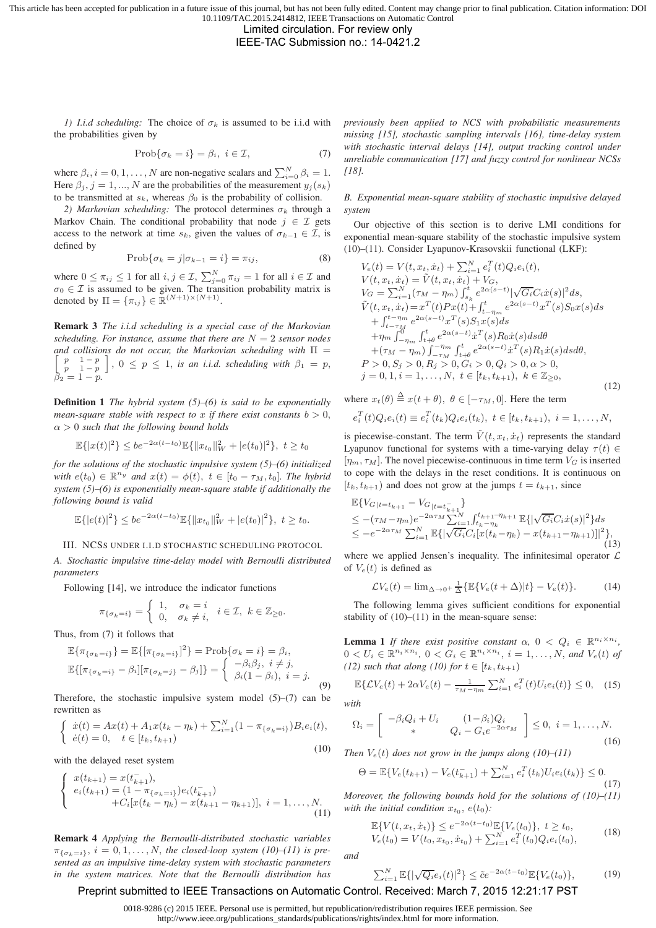Limited circulation. For review only

IEEE-TAC Submission no.: 14-0421.2

*1) I.i.d scheduling:* The choice of  $\sigma_k$  is assumed to be i.i.d with the probabilities given by

$$
Prob\{\sigma_k = i\} = \beta_i, \ i \in \mathcal{I}, \tag{7}
$$

where  $\beta_i$ ,  $i = 0, 1, ..., N$  are non-negative scalars and  $\sum_{i=0}^{N} \beta_i = 1$ . Here  $\beta_j$ ,  $j = 1, ..., N$  are the probabilities of the measurement  $y_j(s_k)$ to be transmitted at  $s_k$ , whereas  $\beta_0$  is the probability of collision.

*2) Markovian scheduling:* The protocol determines  $\sigma_k$  through a Markov Chain. The conditional probability that node  $j \in \mathcal{I}$  gets access to the network at time  $s_k$ , given the values of  $\sigma_{k-1} \in \mathcal{I}$ , is defined by

$$
Prob\{\sigma_k = j | \sigma_{k-1} = i\} = \pi_{ij},
$$
\n(8)

where  $0 \leq \pi_{ij} \leq 1$  for all  $i, j \in \mathcal{I}, \sum_{j=0}^{N} \pi_{ij} = 1$  for all  $i \in \mathcal{I}$  and  $\sigma_0 \in \mathcal{I}$  is assumed to be given. The transition probability matrix is denoted by  $\Pi = {\pi_{ij}} \in \mathbb{R}^{(N+1)\times(N+1)}$ .

**Remark 3** *The i.i.d scheduling is a special case of the Markovian scheduling. For instance, assume that there are*  $N = 2$  *sensor nodes and collisions do not occur, the Markovian scheduling with* Π = h  $\begin{cases} p & 1-p \\ p & 1-p \end{cases}$ ,  $0 \le p \le 1$ , *is an i.i.d. scheduling with*  $\beta_1 = p$ ,  $\beta_2 = 1 - p$ .

**Definition 1** *The hybrid system (5)–(6) is said to be exponentially mean-square stable with respect to* x *if there exist constants*  $b > 0$ , α > 0 *such that the following bound holds*

$$
\mathbb{E}\{|x(t)|^2\} \le be^{-2\alpha(t-t_0)} \mathbb{E}\{\|x_{t_0}\|_W^2 + |e(t_0)|^2\}, \ t \ge t_0
$$

*for the solutions of the stochastic impulsive system (5)–(6) initialized with*  $e(t_0) \in \mathbb{R}^{n_y}$  *and*  $x(t) = \phi(t)$ ,  $t \in [t_0 - \tau_M, t_0]$ *. The hybrid system (5)–(6) is exponentially mean-square stable if additionally the following bound is valid*

$$
\mathbb{E}\{|e(t)|^2\} \le be^{-2\alpha(t-t_0)} \mathbb{E}\{\|x_{t_0}\|_W^2 + |e(t_0)|^2\}, \ t \ge t_0.
$$

### III. NCSS UNDER I.I.D STOCHASTIC SCHEDULING PROTOCOL

*A. Stochastic impulsive time-delay model with Bernoulli distributed parameters*

Following [14], we introduce the indicator functions

$$
\pi_{\{\sigma_k=i\}} = \begin{cases} 1, & \sigma_k = i \\ 0, & \sigma_k \neq i, \end{cases} i \in \mathcal{I}, k \in \mathbb{Z}_{\geq 0}.
$$

Thus, from (7) it follows that

$$
\mathbb{E}\{\pi_{\{\sigma_k=i\}}\} = \mathbb{E}\{[\pi_{\{\sigma_k=i\}}]^2\} = \text{Prob}\{\sigma_k = i\} = \beta_i,
$$
  

$$
\mathbb{E}\{[\pi_{\{\sigma_k=i\}} - \beta_i][\pi_{\{\sigma_k=j\}} - \beta_j]\} = \begin{cases} -\beta_i\beta_j, & i \neq j, \\ \beta_i(1-\beta_i), & i = j. \end{cases}
$$
(9)

Therefore, the stochastic impulsive system model (5)–(7) can be rewritten as

$$
\begin{cases} \n\dot{x}(t) = Ax(t) + A_1 x(t_k - \eta_k) + \sum_{i=1}^N (1 - \pi_{\{\sigma_k = i\}}) B_i e_i(t), \\
\dot{e}(t) = 0, \quad t \in [t_k, t_{k+1})\n\end{cases} \tag{10}
$$

with the delayed reset system

$$
\begin{cases}\nx(t_{k+1}) = x(t_{k+1}^-), \\
e_i(t_{k+1}) = (1 - \pi_{\{\sigma_k = i\}})e_i(t_{k+1}^-) \\
+ C_i[x(t_k - \eta_k) - x(t_{k+1} - \eta_{k+1})], \ i = 1, ..., N.\n\end{cases} (11)
$$

**Remark 4** *Applying the Bernoulli-distributed stochastic variables*  $\pi_{\{\sigma_k=i\}}$ ,  $i=0,1,\ldots,N$ , the closed-loop system (10)–(11) is pre*sented as an impulsive time-delay system with stochastic parameters in the system matrices. Note that the Bernoulli distribution has*

*previously been applied to NCS with probabilistic measurements missing [15], stochastic sampling intervals [16], time-delay system with stochastic interval delays [14], output tracking control under unreliable communication [17] and fuzzy control for nonlinear NCSs [18].*

## *B. Exponential mean-square stability of stochastic impulsive delayed system*

Our objective of this section is to derive LMI conditions for exponential mean-square stability of the stochastic impulsive system (10)–(11). Consider Lyapunov-Krasovskii functional (LKF):

$$
V_e(t) = V(t, x_t, \dot{x}_t) + \sum_{i=1}^{N} e_i^T(t) Q_i e_i(t),
$$
  
\n
$$
V(t, x_t, \dot{x}_t) = \tilde{V}(t, x_t, \dot{x}_t) + V_G,
$$
  
\n
$$
V_G = \sum_{i=1}^{N} (\tau_M - \eta_m) \int_{s_k}^t e^{2\alpha(s-t)} |\sqrt{G_i} C_i \dot{x}(s)|^2 ds,
$$
  
\n
$$
\tilde{V}(t, x_t, \dot{x}_t) = x^T(t) P x(t) + \int_{t-\eta_m}^t e^{2\alpha(s-t)} x^T(s) S_0 x(s) ds
$$
  
\n
$$
+ \int_{t-\tau_M}^{t-\eta_m} e^{2\alpha(s-t)} x^T(s) S_1 x(s) ds
$$
  
\n
$$
+ \eta_m \int_{-\eta_m}^0 \int_{t+\theta}^t e^{2\alpha(s-t)} \dot{x}^T(s) R_0 \dot{x}(s) ds d\theta
$$
  
\n
$$
+ (\tau_M - \eta_m) \int_{-\tau_M}^{-\eta_m} \int_{t+\theta}^t e^{2\alpha(s-t)} \dot{x}^T(s) R_1 \dot{x}(s) ds d\theta,
$$
  
\n
$$
P > 0, S_j > 0, R_j > 0, G_i > 0, Q_i > 0, \alpha > 0,
$$
  
\n
$$
j = 0, 1, i = 1, ..., N, t \in [t_k, t_{k+1}), k \in \mathbb{Z}_{\geq 0},
$$
\n(12)

where  $x_t(\theta) \stackrel{\Delta}{=} x(t + \theta), \ \theta \in [-\tau_M, 0].$  Here the term

$$
e_i^T(t)Q_i e_i(t) \equiv e_i^T(t_k)Q_i e_i(t_k), \ t \in [t_k, t_{k+1}), \ i = 1, ..., N,
$$

is piecewise-constant. The term  $\tilde{V}(t, x_t, \dot{x}_t)$  represents the standard Lyapunov functional for systems with a time-varying delay  $\tau(t) \in$  $[\eta_m, \tau_M]$ . The novel piecewise-continuous in time term  $V_G$  is inserted to cope with the delays in the reset conditions. It is continuous on  $[t_k, t_{k+1})$  and does not grow at the jumps  $t = t_{k+1}$ , since

$$
\mathbb{E}\{V_{G|t=t_{k+1}} - V_{G|t=t_{k+1}}\}
$$
\n
$$
\leq -(\tau_M - \eta_m)e^{-2\alpha\tau_M} \sum_{i=1}^N \int_{t_k - \eta_k}^{t_{k+1} - \eta_{k+1}} \mathbb{E}\{|\sqrt{G_i}C_i\dot{x}(s)|^2\}ds
$$
\n
$$
\leq -e^{-2\alpha\tau_M} \sum_{i=1}^N \mathbb{E}\{|\sqrt{G_i}C_i[x(t_k - \eta_k) - x(t_{k+1} - \eta_{k+1})]|^2\},\tag{13}
$$

where we applied Jensen's inequality. The infinitesimal operator  $\mathcal L$ of  $V_e(t)$  is defined as

$$
\mathcal{L}V_e(t) = \lim_{\Delta \to 0^+} \frac{1}{\Delta} \{ \mathbb{E} \{ V_e(t + \Delta) | t \} - V_e(t) \}.
$$
 (14)

The following lemma gives sufficient conditions for exponential stability of  $(10)$ – $(11)$  in the mean-square sense:

**Lemma 1** *If there exist positive constant*  $\alpha$ ,  $0 < Q_i \in \mathbb{R}^{n_i \times n_i}$ ,  $0 < U_i \in \mathbb{R}^{n_i \times n_i}$ ,  $0 < G_i \in \mathbb{R}^{n_i \times n_i}$ ,  $i = 1, ..., N$ , and  $V_e(t)$  of *(12) such that along (10) for*  $t \in [t_k, t_{k+1})$ 

$$
\mathbb{E}\{\mathcal{L}V_e(t) + 2\alpha V_e(t) - \frac{1}{\tau_M - \eta_m} \sum_{i=1}^N e_i^T(t) U_i e_i(t)\} \le 0, \quad (15)
$$

*with*

$$
\Omega_i = \begin{bmatrix} -\beta_i Q_i + U_i & (1 - \beta_i) Q_i \\ * & Q_i - G_i e^{-2\alpha \tau_M} \end{bmatrix} \leq 0, \ i = 1, \dots, N. \tag{16}
$$

*Then*  $V_e(t)$  *does not grow in the jumps along* (10)–(11)

$$
\Theta = \mathbb{E}\{V_e(t_{k+1}) - V_e(t_{k+1}^-) + \sum_{i=1}^N e_i^T(t_k)U_i e_i(t_k)\} \le 0.
$$
\n(17)

*Moreover, the following bounds hold for the solutions of (10)–(11)* with the initial condition  $x_{t_0}$ ,  $e(t_0)$ :

$$
\mathbb{E}\{V(t, x_t, \dot{x}_t)\} \le e^{-2\alpha(t-t_0)} \mathbb{E}\{V_e(t_0)\}, \ t \ge t_0, V_e(t_0) = V(t_0, x_{t_0}, \dot{x}_{t_0}) + \sum_{i=1}^N e_i^T(t_0) Q_i e_i(t_0),
$$
 (18)

*and*

$$
\sum_{i=1}^{N} \mathbb{E}\{ |\sqrt{Q_i} e_i(t)|^2 \} \le \tilde{c} e^{-2\alpha(t-t_0)} \mathbb{E}\{ V_e(t_0) \},
$$
 (19)

Preprint submitted to IEEE Transactions on Automatic Control. Received: March 7, 2015 12:21:17 PST

<sup>0018-9286 (</sup>c) 2015 IEEE. Personal use is permitted, but republication/redistribution requires IEEE permission. See http://www.ieee.org/publications\_standards/publications/rights/index.html for more information.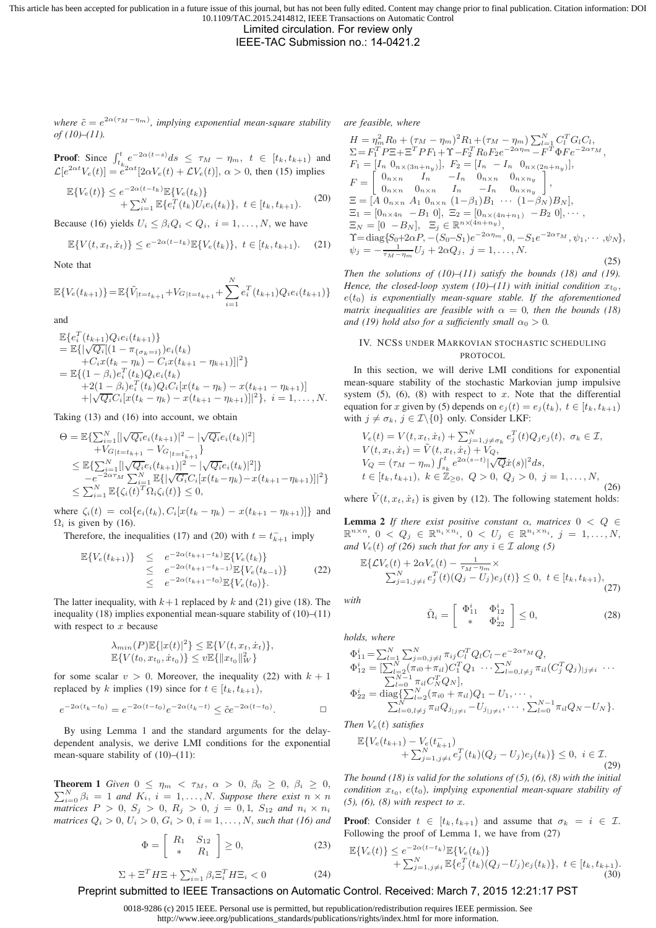Limited circulation. For review only

IEEE-TAC Submission no.: 14-0421.2

 $\omega$ *where*  $\tilde{c} = e^{2\alpha(\tau_M - \eta_m)}$ , implying exponential mean-square stability are feasible, where *of (10)–(11).*

**Proof**: Since  $\int_{t_{k_0}}^{t} e^{-2\alpha(t-s)} ds \leq \tau_M - \eta_m$ ,  $t \in [t_k, t_{k+1})$  and  $\mathcal{L}[e^{2\alpha t}V_e(t)] = e^{2\alpha t}[2\alpha V_e(t) + \mathcal{L}V_e(t)], \alpha > 0$ , then (15) implies

$$
\mathbb{E}\{V_e(t)\} \le e^{-2\alpha(t-t_k)} \mathbb{E}\{V_e(t_k)\} + \sum_{i=1}^N \mathbb{E}\{e_i^T(t_k)U_i e_i(t_k)\}, \ t \in [t_k, t_{k+1}).
$$
 (20)

Because (16) yields  $U_i \leq \beta_i Q_i < Q_i$ ,  $i = 1, ..., N$ , we have

$$
\mathbb{E}\{V(t, x_t, \dot{x}_t)\} \le e^{-2\alpha(t - t_k)} \mathbb{E}\{V_e(t_k)\}, \ t \in [t_k, t_{k+1}). \tag{21}
$$

Note that

$$
\mathbb{E}\{V_e(t_{k+1})\} = \mathbb{E}\{\tilde{V}_{|t=t_{k+1}} + V_{G|t=t_{k+1}} + \sum_{i=1}^{N} e_i^T(t_{k+1})Q_i e_i(t_{k+1})\}
$$

and

$$
\mathbb{E}\{e_i^T(t_{k+1})Q_i e_i(t_{k+1})\} \n= \mathbb{E}\{|\sqrt{Q_i}|(1 - \pi_{\{\sigma_k = i\}})e_i(t_k) \n+ C_i x(t_k - \eta_k) - C_i x(t_{k+1} - \eta_{k+1})||^2\} \n= \mathbb{E}\{ (1 - \beta_i)e_i^T(t_k)Q_i e_i(t_k) \n+ 2(1 - \beta_i)e_i^T(t_k)Q_i C_i[x(t_k - \eta_k) - x(t_{k+1} - \eta_{k+1})] \n+ |\sqrt{Q_i}C_i[x(t_k - \eta_k) - x(t_{k+1} - \eta_{k+1})||^2\}, i = 1, ..., N.
$$

Taking (13) and (16) into account, we obtain

$$
\Theta = \mathbb{E}\left\{\sum_{i=1}^{N} [|\sqrt{Q_i}e_i(t_{k+1})|^2 - |\sqrt{Q_i}e_i(t_k)|^2] + V_{G|t=t_{k+1}} - V_{G|t=t_{k+1}}\right\}\n\leq \mathbb{E}\left\{\sum_{i=1}^{N} [|\sqrt{Q_i}e_i(t_{k+1})|^2 - |\sqrt{Q_i}e_i(t_k)|^2] \right\}\n-e^{-2\alpha\tau_M} \sum_{i=1}^{N} \mathbb{E}\left\{|\sqrt{G_i}C_i[x(t_k-\eta_k) - x(t_{k+1}-\eta_{k+1})]|^2\right\}\n\leq \sum_{i=1}^{N} \mathbb{E}\left\{\zeta_i(t)^T \Omega_i\zeta_i(t)\right\} \leq 0,
$$

where  $\zeta_i(t) = \text{col}\{e_i(t_k), C_i[x(t_k - \eta_k) - x(t_{k+1} - \eta_{k+1})]\}$  and  $\Omega_i$  is given by (16).

Therefore, the inequalities (17) and (20) with  $t = t_{k+1}^-$  imply

$$
\mathbb{E}\{V_e(t_{k+1})\} \leq e^{-2\alpha(t_{k+1}-t_k)} \mathbb{E}\{V_e(t_k)\}\n\n\leq e^{-2\alpha(t_{k+1}-t_{k-1})} \mathbb{E}\{V_e(t_{k-1})\}\n\n\leq e^{-2\alpha(t_{k+1}-t_0)} \mathbb{E}\{V_e(t_0)\}.
$$
\n(22)

The latter inequality, with  $k+1$  replaced by k and (21) give (18). The inequality (18) implies exponential mean-square stability of  $(10)$ – $(11)$ with respect to  $x$  because

$$
\lambda_{min}(P)\mathbb{E}\{|x(t)|^2\} \leq \mathbb{E}\{V(t, x_t, \dot{x}_t)\},
$$
  

$$
\mathbb{E}\{V(t_0, x_{t_0}, \dot{x}_{t_0})\} \leq v\mathbb{E}\{\|x_{t_0}\|_W^2\}
$$

for some scalar  $v > 0$ . Moreover, the inequality (22) with  $k + 1$ replaced by k implies (19) since for  $t \in [t_k, t_{k+1}),$ 

$$
e^{-2\alpha(t_k - t_0)} = e^{-2\alpha(t - t_0)}e^{-2\alpha(t_k - t)} \le \tilde{c}e^{-2\alpha(t - t_0)}.
$$

By using Lemma 1 and the standard arguments for the delaydependent analysis, we derive LMI conditions for the exponential mean-square stability of  $(10)$ – $(11)$ :

**Theorem 1** Given  $0 \le \eta_m < \tau_M$ ,  $\alpha > 0$ ,  $\beta_0 \ge 0$ ,  $\beta_i \ge 0$ ,  $\sum_{i=0}^{N} \beta_i = 1$  and  $K_i$ ,  $i = 1, ..., N$ . Suppose there exist  $n \times n$ *matrices*  $P > 0$ ,  $S_j > 0$ ,  $R_j > 0$ ,  $j = 0, 1$ ,  $S_{12}$  and  $n_i \times n_i$ *matrices*  $Q_i > 0$ ,  $U_i > 0$ ,  $G_i > 0$ ,  $i = 1, ..., N$ , *such that* (16) and

$$
\Phi = \begin{bmatrix} R_1 & S_{12} \\ * & R_1 \end{bmatrix} \ge 0,\tag{23}
$$

$$
\Sigma + \Xi^T H \Xi + \sum_{i=1}^N \beta_i \Xi_i^T H \Xi_i < 0 \tag{24}
$$

$$
H = \eta_m^2 R_0 + (\tau_M - \eta_m)^2 R_1 + (\tau_M - \eta_m) \sum_{l=1}^N C_l^T G_l C_l,
$$
  
\n
$$
\Sigma = F_1^T P \Xi + \Xi^T P F_1 + \Upsilon - F_2^T R_0 F_2 e^{-2\alpha \eta_m} - F^T \Phi F e^{-2\alpha \tau_M},
$$
  
\n
$$
F_1 = [I_n \ 0_{n \times (3n + n_y)}], \ F_2 = [I_n - I_n \ 0_{n \times (2n + n_y)}],
$$
  
\n
$$
F = \begin{bmatrix} 0_{n \times n} & I_n & -I_n \ 0_{n \times n} & 0_{n \times n_y} \\ 0_{n \times n} & 0_{n \times n} & I_n & -I_n \ 0_{n \times n_y} \end{bmatrix},
$$
  
\n
$$
\Xi = [A \ 0_{n \times n} \ A_1 \ 0_{n \times n} \ (1 - \beta_1) B_1 \ \cdots \ (1 - \beta_N) B_N],
$$
  
\n
$$
\Xi_1 = [0_{n \times 4n} - B_1 \ 0], \ \Xi_2 = [0_{n \times (4n + n_1)} - B_2 \ 0], \cdots,
$$
  
\n
$$
\Xi_N = [0 - B_N], \ \Xi_j \in \mathbb{R}^{n \times (4n + n_y)},
$$
  
\n
$$
\Upsilon = \text{diag}\{S_0 + 2\alpha P, -(S_0 - S_1)e^{-2\alpha \eta_m}, 0, -S_1e^{-2\alpha \tau_M}, \psi_1, \cdots, \psi_N\},
$$
  
\n
$$
\psi_j = -\frac{1}{\tau_M - \eta_m} U_j + 2\alpha Q_j, \ j = 1, \ldots, N.
$$
  
\n(25)

*Then the solutions of (10)–(11) satisfy the bounds (18) and (19). Hence, the closed-loop system*  $(10)$ – $(11)$  with initial condition  $x_{t_0}$ ,  $e(t_0)$  *is exponentially mean-square stable. If the aforementioned matrix inequalities are feasible with*  $\alpha = 0$ *, then the bounds (18) and (19) hold also for a sufficiently small*  $\alpha_0 > 0$ *.* 

## IV. NCSS UNDER MARKOVIAN STOCHASTIC SCHEDULING PROTOCOL

In this section, we will derive LMI conditions for exponential mean-square stability of the stochastic Markovian jump impulsive system  $(5)$ ,  $(6)$ ,  $(8)$  with respect to x. Note that the differential equation for x given by (5) depends on  $e_i(t) = e_i(t_k)$ ,  $t \in [t_k, t_{k+1})$ with  $j \neq \sigma_k$ ,  $j \in \mathcal{I}\backslash\{0\}$  only. Consider LKF:

$$
V_e(t) = V(t, x_t, \dot{x}_t) + \sum_{j=1, j \neq \sigma_k}^{N} e_j^T(t) Q_j e_j(t), \ \sigma_k \in \mathcal{I},
$$
  
\n
$$
V(t, x_t, \dot{x}_t) = \tilde{V}(t, x_t, \dot{x}_t) + V_Q,
$$
  
\n
$$
V_Q = (\tau_M - \eta_m) \int_{s_k}^{t} e^{2\alpha(s-t)} |\sqrt{Q} \dot{x}(s)|^2 ds,
$$
  
\n
$$
t \in [t_k, t_{k+1}), \ k \in \mathbb{Z}_{\geq 0}, \ Q > 0, \ Q_j > 0, \ j = 1, ..., N,
$$
\n(26)

where  $\tilde{V}(t, x_t, \dot{x}_t)$  is given by (12). The following statement holds:

**Lemma 2** *If there exist positive constant*  $\alpha$ *, matrices*  $0 < Q \in$  $\mathbb{R}^{n \times n}$ ,  $0 < Q_j \in \mathbb{R}^{n_i \times n_i}$ ,  $0 < U_j \in \mathbb{R}^{n_i \times n_i}$ ,  $j = 1, ..., N$ , *and*  $V_e(t)$  *of (26) such that for any*  $i \in \mathcal{I}$  *along (5)* 

$$
\mathbb{E}\{ \mathcal{L}V_e(t) + 2\alpha V_e(t) - \frac{1}{\tau_M - \eta_m} \times \sum_{j=1, j \neq i}^N e_j^T(t) (Q_j - U_j) e_j(t) \} \le 0, \ t \in [t_k, t_{k+1}), \tag{27}
$$

*with*

$$
\tilde{\Omega}_i = \begin{bmatrix} \Phi_{11}^i & \Phi_{12}^i \\ * & \Phi_{22}^i \end{bmatrix} \le 0,\tag{28}
$$

*holds, where*

$$
\Phi_{11}^{i} = \sum_{l=1}^{N} \sum_{j=0, j \neq l}^{N} \pi_{ij} C_{l}^{T} Q_{l} C_{l} - e^{-2\alpha \tau_{M}} Q,
$$
\n
$$
\Phi_{12}^{i} = \left[ \sum_{l=2}^{N} (\pi_{i0} + \pi_{il}) C_{1}^{T} Q_{1} \cdots \sum_{l=0, l \neq j}^{N} \pi_{il} (C_{j}^{T} Q_{j})_{|j \neq i} \cdots \right]
$$
\n
$$
\Phi_{22}^{i} = \text{diag} \{ \sum_{l=0}^{N} (\pi_{i0} + \pi_{il}) Q_{1} - U_{1}, \cdots,
$$
\n
$$
\sum_{l=0, l \neq j}^{N} \pi_{il} Q_{j|j \neq i} - U_{j|j \neq i}, \cdots, \sum_{l=0}^{N-1} \pi_{il} Q_{N} - U_{N} \}.
$$

*Then*  $V_e(t)$  *satisfies* 

$$
\mathbb{E}\{V_e(t_{k+1}) - V_e(t_{k+1}) + \sum_{j=1, j\neq i}^{N} e_j^T(t_k)(Q_j - U_j)e_j(t_k)\} \le 0, \ i \in \mathcal{I}.\tag{29}
$$

*The bound (18) is valid for the solutions of (5), (6), (8) with the initial*  $condition \; x_{t_0}, \; e(t_0)$ , implying exponential mean-square stability of *(5), (6), (8) with respect to* x*.*

**Proof:** Consider  $t \in [t_k, t_{k+1})$  and assume that  $\sigma_k = i \in \mathcal{I}$ . Following the proof of Lemma 1, we have from (27)

$$
\mathbb{E}\{V_e(t)\}\leq e^{-2\alpha(t-t_k)}\mathbb{E}\{V_e(t_k)\}\n+ \sum_{j=1,j\neq i}^N \mathbb{E}\{e_j^T(t_k)(Q_j-U_j)e_j(t_k)\},\ t\in[t_k,t_{k+1}).
$$
\n(30)

# Preprint submitted to IEEE Transactions on Automatic Control. Received: March 7, 2015 12:21:17 PST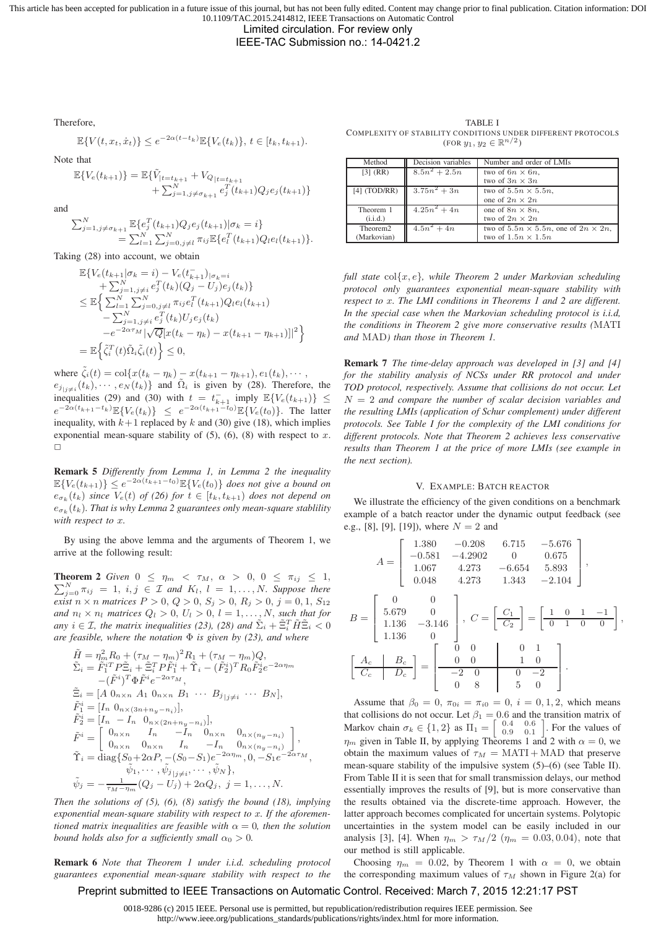Limited circulation. For review only

IEEE-TAC Submission no.: 14-0421.2

Therefore,

$$
\mathbb{E}\{V(t, x_t, \dot{x}_t)\} \le e^{-2\alpha(t - t_k)} \mathbb{E}\{V_e(t_k)\}, \ t \in [t_k, t_{k+1}).
$$

Note that

$$
\mathbb{E}\{V_e(t_{k+1})\} = \mathbb{E}\{\tilde{V}_{|t=t_{k+1}} + V_{Q|t=t_{k+1}} + \sum_{j=1,j\neq \sigma_{k+1}}^{N} e_j^T(t_{k+1})Q_j e_j(t_{k+1})\}
$$

and

$$
\sum_{j=1,j\neq\sigma_{k+1}}^{N} \mathbb{E}\{e_j^T(t_{k+1})Q_j e_j(t_{k+1}) | \sigma_k = i\}
$$
  
= 
$$
\sum_{l=1}^{N} \sum_{j=0,j\neq l}^{N} \pi_{ij} \mathbb{E}\{e_l^T(t_{k+1})Q_l e_l(t_{k+1})\}.
$$

Taking (28) into account, we obtain

$$
\mathbb{E}\{V_e(t_{k+1}|\sigma_k=i) - V_e(t_{k+1}^{-})|_{\sigma_k=i}+ \sum_{j=1, j\neq i}^{N} e_j^T(t_k)(Q_j - U_j)e_j(t_k)\}\n\leq \mathbb{E}\Big\{\sum_{l=1}^{N} \sum_{j=0, j\neq l}^{N} \pi_{ij} e_l^T(t_{k+1})Q_l e_l(t_{k+1})- \sum_{j=1, j\neq i}^{N} e_j^T(t_k)U_j e_j(t_k)-e^{-2\alpha\tau_M}|\sqrt{Q}[x(t_k - \eta_k) - x(t_{k+1} - \eta_{k+1})]|^2\Big\}
$$
\n
$$
= \mathbb{E}\Big\{\tilde{\zeta}_i^T(t)\tilde{\Omega}_i\tilde{\zeta}_i(t)\Big\} \leq 0,
$$

where  $\tilde{\zeta}_i(t) = \text{col}\{x(t_k - \eta_k) - x(t_{k+1} - \eta_{k+1}), e_1(t_k), \cdots, e_k(t_k)\}$  $e_{j|j\neq i}(t_k), \cdots, e_N(t_k)$  and  $\tilde{\Omega}_i$  is given by (28). Therefore, the inequalities (29) and (30) with  $t = t_{k+1}^-$  imply  $\mathbb{E}\{V_e(t_{k+1})\} \le$  $e^{-2\alpha(t_{k+1}-t_k)}\mathbb{E}{V_e(t_k)} \leq e^{-2\alpha(t_{k+1}-t_0)}\mathbb{E}{V_e(t_0)}$ . The latter inequality, with  $k+1$  replaced by k and (30) give (18), which implies exponential mean-square stability of  $(5)$ ,  $(6)$ ,  $(8)$  with respect to x.  $\Box$ 

**Remark 5** *Differently from Lemma 1, in Lemma 2 the inequality*  $\mathbb{E}\{V_e(t_{k+1})\} \leq e^{-2\alpha(t_{k+1}-t_0)}\mathbb{E}\{V_e(t_0)\}\)$  does not give a bound on  $e_{\sigma_k}(t_k)$  since  $V_e(t)$  of (26) for  $t \in [t_k, t_{k+1})$  does not depend on  $e_{\sigma_k}(t_k)$ . That is why Lemma 2 guarantees only mean-square stablility *with respect to* x*.*

By using the above lemma and the arguments of Theorem 1, we arrive at the following result:

 $\sum_{j=0}^{N} \pi_{ij} = 1$ ,  $i, j \in \mathcal{I}$  and  $K_l$ ,  $l = 1, \ldots, N$ . Suppose there **Theorem 2** *Given*  $0 \leq \eta_m < \tau_M$ ,  $\alpha > 0$ ,  $0 \leq \pi_{ij} \leq 1$ , *exist*  $n \times n$  *matrices*  $P > 0$ ,  $Q > 0$ ,  $S_j > 0$ ,  $R_j > 0$ ,  $j = 0, 1$ ,  $S_{12}$ *and*  $n_l \times n_l$  *matrices*  $Q_l > 0$ ,  $U_l > 0$ ,  $l = 1, ..., N$ , *such that for any*  $i \in \mathcal{I}$ , the matrix inequalities (23), (28) and  $\tilde{\Sigma}_i + \tilde{\Xi}_i^T \tilde{H} \tilde{\Xi}_i < 0$ *are feasible, where the notation* Φ *is given by (23), and where*

$$
\tilde{H} = \eta_{m}^{2} R_{0} + (\tau_{M} - \eta_{m})^{2} R_{1} + (\tau_{M} - \eta_{m}) Q, \n\tilde{\Sigma}_{i} = \tilde{F}_{1}^{i T} P \tilde{\Xi}_{i} + \tilde{\Xi}_{i}^{T} P \tilde{F}_{1}^{i} + \tilde{\Upsilon}_{i} - (\tilde{F}_{2}^{i})^{T} R_{0} \tilde{F}_{2}^{i} e^{-2\alpha \eta_{m}} \n- (\tilde{F}^{i})^{T} \Phi \tilde{F}^{i} e^{-2\alpha \tau_{M}}, \n\tilde{\Xi}_{i} = [A \ 0_{n \times n} A_{1} \ 0_{n \times n} B_{1} \ \cdots B_{j} |_{j \neq i} \ \cdots B_{N}], \n\tilde{F}_{1}^{i} = [I_{n} \ 0_{n \times (3n + n_{y} - n_{i})}], \n\tilde{F}_{2}^{i} = [I_{n} - I_{n} \ 0_{n \times (2n + n_{y} - n_{i})}], \n\tilde{F}^{i} = \begin{bmatrix} 0_{n \times n} & I_{n} & -I_{n} \ 0_{n \times n} & 0_{n \times (n_{y} - n_{i})} \\ 0_{n \times n} & I_{n} & -I_{n} \ 0_{n \times (n_{y} - n_{i})} \end{bmatrix}, \n\tilde{\Upsilon}_{i} = \text{diag}\{S_{0} + 2\alpha P, -(S_{0} - S_{1})e^{-2\alpha \eta_{m}}, 0, -S_{1}e^{-2\alpha \tau_{M}}, \n\tilde{\psi}_{1}, \cdots, \tilde{\psi}_{j} |_{j \neq i}, \cdots, \tilde{\psi}_{N}\}, \n\tilde{\psi}_{j} = -\frac{1}{\tau_{M} - \eta_{m}} (Q_{j} - U_{j}) + 2\alpha Q_{j}, j = 1, \ldots, N.
$$

*Then the solutions of (5), (6), (8) satisfy the bound (18), implying exponential mean-square stability with respect to* x*. If the aforementioned matrix inequalities are feasible with*  $\alpha = 0$ *, then the solution bound holds also for a sufficiently small*  $\alpha_0 > 0$ *.* 

**Remark 6** *Note that Theorem 1 under i.i.d. scheduling protocol guarantees exponential mean-square stability with respect to the*

TABLE I COMPLEXITY OF STABILITY CONDITIONS UNDER DIFFERENT PROTOCOLS (FOR  $y_1, y_2 \in \mathbb{R}^{n/2}$ )

| Method               | Decision variables | Number and order of LMIs                            |
|----------------------|--------------------|-----------------------------------------------------|
| $[3]$ (RR)           | $8.5n^2 + 2.5n$    | two of $6n \times 6n$ ,                             |
|                      |                    | two of $3n \times 3n$                               |
| $[4]$ (TOD/RR)       | $3.75n^2 + 3n$     | two of $5.5n \times 5.5n$ ,                         |
|                      |                    | one of $2n \times 2n$                               |
| Theorem 1            | $4.25n^2 + 4n$     | one of $8n \times 8n$ .                             |
| (i.i.d.)             |                    | two of $2n \times 2n$                               |
| Theorem <sub>2</sub> | $4.5n^2 + 4n$      | two of $5.5n \times 5.5n$ , one of $2n \times 2n$ , |
| (Markovian)          |                    | two of $1.5n \times 1.5n$                           |

*full state* col{x, e}*, while Theorem 2 under Markovian scheduling protocol only guarantees exponential mean-square stability with respect to* x*. The LMI conditions in Theorems 1 and 2 are different. In the special case when the Markovian scheduling protocol is i.i.d, the conditions in Theorem 2 give more conservative results (*MATI *and* MAD*) than those in Theorem 1.*

**Remark 7** *The time-delay approach was developed in [3] and [4] for the stability analysis of NCSs under RR protocol and under TOD protocol, respectively. Assume that collisions do not occur. Let* N = 2 *and compare the number of scalar decision variables and the resulting LMIs (application of Schur complement) under different protocols. See Table I for the complexity of the LMI conditions for different protocols. Note that Theorem 2 achieves less conservative results than Theorem 1 at the price of more LMIs (see example in the next section).*

## V. EXAMPLE: BATCH REACTOR

We illustrate the efficiency of the given conditions on a benchmark example of a batch reactor under the dynamic output feedback (see e.g., [8], [9], [19]), where  $N = 2$  and

$$
A = \begin{bmatrix} 1.380 & -0.208 & 6.715 & -5.676 \\ -0.581 & -4.2902 & 0 & 0.675 \\ 1.067 & 4.273 & -6.654 & 5.893 \\ 0.048 & 4.273 & 1.343 & -2.104 \end{bmatrix},
$$
  

$$
B = \begin{bmatrix} 0 & 0 \\ 5.679 & 0 \\ 1.136 & -3.146 \\ 1.136 & 0 \end{bmatrix}, C = \begin{bmatrix} C_1 \\ \overline{C_2} \end{bmatrix} = \begin{bmatrix} 1 & 0 & 1 & -1 \\ 0 & 1 & 0 & 0 \\ 0 & 1 & 0 & 0 \\ 0 & 0 & -2 & 0 \\ 0 & 8 & 5 & 0 \end{bmatrix}.
$$

Assume that  $\beta_0 = 0$ ,  $\pi_{0i} = \pi_{i0} = 0$ ,  $i = 0, 1, 2$ , which means that collisions do not occur. Let  $\beta_1 = 0.6$  and the transition matrix of Markov chain  $\sigma_k \in \{1, 2\}$  as  $\Pi_1 = \begin{bmatrix} 0.4 & 0.6 \\ 0.9 & 0.1 \end{bmatrix}$ . For the values of  $\eta_m$  given in Table II, by applying Theorems 1 and 2 with  $\alpha = 0$ , we obtain the maximum values of  $\tau_M = \text{MATI} + \text{MAD}$  that preserve mean-square stability of the impulsive system (5)–(6) (see Table II). From Table II it is seen that for small transmission delays, our method essentially improves the results of [9], but is more conservative than the results obtained via the discrete-time approach. However, the latter approach becomes complicated for uncertain systems. Polytopic uncertainties in the system model can be easily included in our analysis [3], [4]. When  $\eta_m > \tau_M/2$  ( $\eta_m = 0.03, 0.04$ ), note that our method is still applicable.

Choosing  $\eta_m = 0.02$ , by Theorem 1 with  $\alpha = 0$ , we obtain the corresponding maximum values of  $\tau_M$  shown in Figure 2(a) for

# Preprint submitted to IEEE Transactions on Automatic Control. Received: March 7, 2015 12:21:17 PST